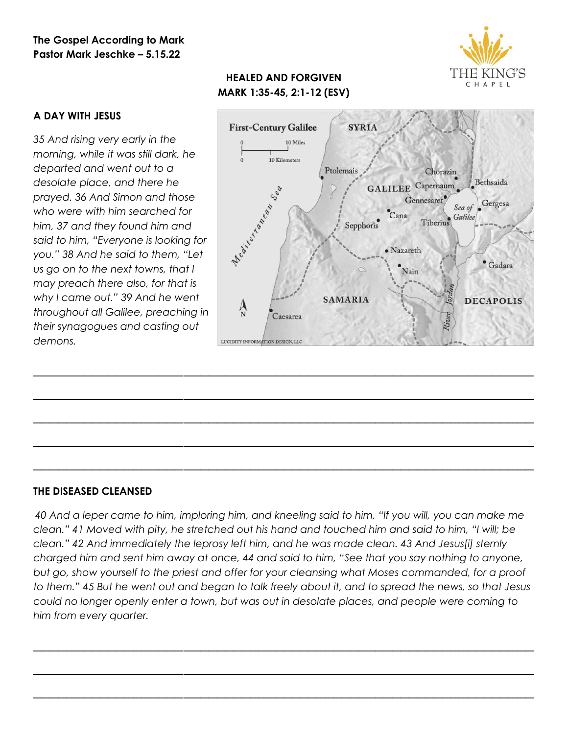## **The Gospel According to Mark Pastor Mark Jeschke – 5.15.22**



# **HEALED AND FORGIVEN MARK 1:35-45, 2:1-12 (ESV)**



*35 And rising very early in the morning, while it was still dark, he departed and went out to a desolate place, and there he prayed. 36 And Simon and those who were with him searched for him, 37 and they found him and said to him, "Everyone is looking for you." 38 And he said to them, "Let us go on to the next towns, that I may preach there also, for that is why I came out." 39 And he went throughout all Galilee, preaching in their synagogues and casting out demons.*



#### **THE DISEASED CLEANSED**

*40 And a leper came to him, imploring him, and kneeling said to him, "If you will, you can make me clean." 41 Moved with pity, he stretched out his hand and touched him and said to him, "I will; be clean." 42 And immediately the leprosy left him, and he was made clean. 43 And Jesus[i] sternly charged him and sent him away at once, 44 and said to him, "See that you say nothing to anyone, but go, show yourself to the priest and offer for your cleansing what Moses commanded, for a proof to them." 45 But he went out and began to talk freely about it, and to spread the news, so that Jesus could no longer openly enter a town, but was out in desolate places, and people were coming to him from every quarter.*

*\_\_\_\_\_\_\_\_\_\_\_\_\_\_\_\_\_\_\_\_\_\_\_\_\_\_\_\_\_\_\_\_\_\_\_\_\_\_\_\_\_\_\_\_\_\_\_\_\_\_\_\_\_\_\_\_\_\_\_\_*

*\_\_\_\_\_\_\_\_\_\_\_\_\_\_\_\_\_\_\_\_\_\_\_\_\_\_\_\_\_\_\_\_\_\_\_\_\_\_\_\_\_\_\_\_\_\_\_\_\_\_\_\_\_\_\_\_\_\_\_\_*

*\_\_\_\_\_\_\_\_\_\_\_\_\_\_\_\_\_\_\_\_\_\_\_\_\_\_\_\_\_\_\_\_\_\_\_\_\_\_\_\_\_\_\_\_\_\_\_\_\_\_\_\_\_\_\_\_\_\_\_\_*

*\_\_\_\_\_\_\_\_\_\_\_\_\_\_\_\_\_\_\_\_\_\_\_\_\_\_\_\_\_\_\_\_\_\_\_\_\_\_\_\_\_\_\_\_\_\_\_\_\_\_\_\_\_\_\_\_\_\_\_\_*

*\_\_\_\_\_\_\_\_\_\_\_\_\_\_\_\_\_\_\_\_\_\_\_\_\_\_\_\_\_\_\_\_\_\_\_\_\_\_\_\_\_\_\_\_\_\_\_\_\_\_\_\_\_\_\_\_\_\_\_\_*

*\_\_\_\_\_\_\_\_\_\_\_\_\_\_\_\_\_\_\_\_\_\_\_\_\_\_\_\_\_\_\_\_\_\_\_\_\_\_\_\_\_\_\_\_\_\_\_\_\_\_\_\_\_\_\_\_\_\_\_\_*

*\_\_\_\_\_\_\_\_\_\_\_\_\_\_\_\_\_\_\_\_\_\_\_\_\_\_\_\_\_\_\_\_\_\_\_\_\_\_\_\_\_\_\_\_\_\_\_\_\_\_\_\_\_\_\_\_\_\_\_\_*

*\_\_\_\_\_\_\_\_\_\_\_\_\_\_\_\_\_\_\_\_\_\_\_\_\_\_\_\_\_\_\_\_\_\_\_\_\_\_\_\_\_\_\_\_\_\_\_\_\_\_\_\_\_\_\_\_\_\_\_\_*